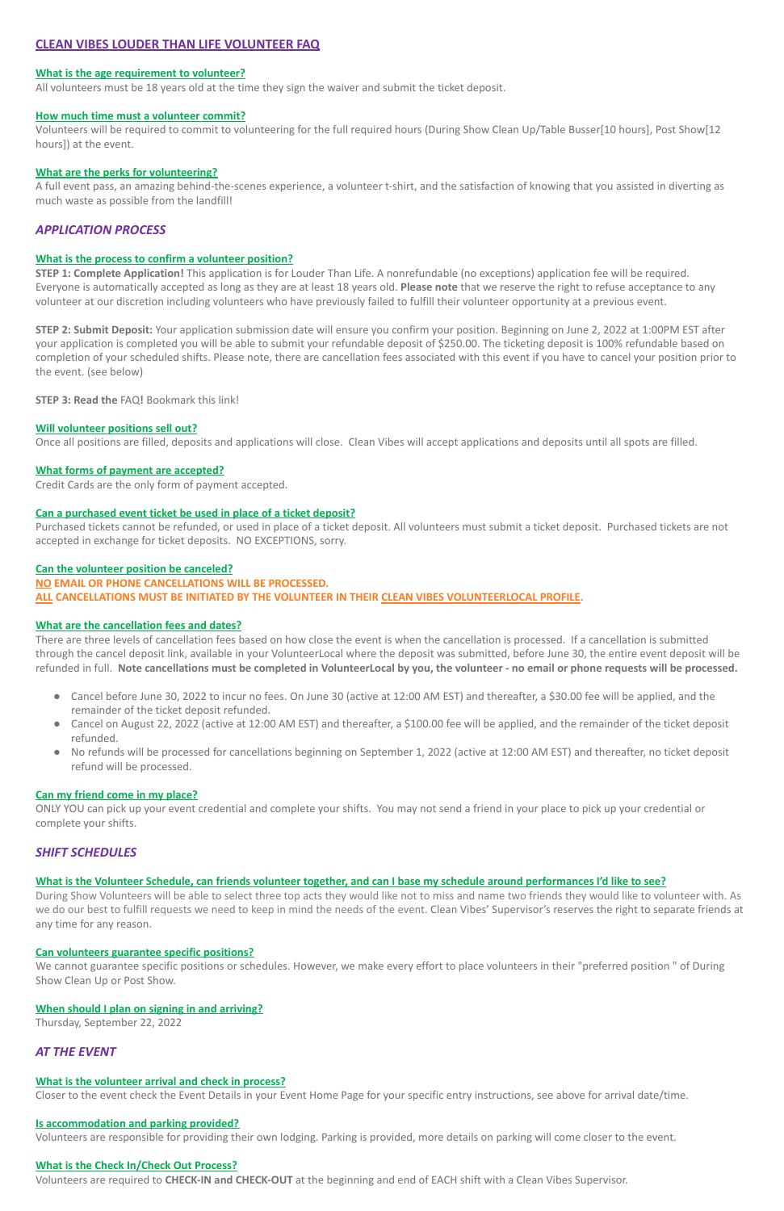# **CLEAN VIBES LOUDER THAN LIFE VOLUNTEER FAQ**

### **What is the age requirement to volunteer?**

All volunteers must be 18 years old at the time they sign the waiver and submit the ticket deposit.

#### **How much time must a volunteer commit?**

Volunteers will be required to commit to volunteering for the full required hours (During Show Clean Up/Table Busser[10 hours], Post Show[12 hours]) at the event.

### **What are the perks for volunteering?**

A full event pass, an amazing behind-the-scenes experience, a volunteer t-shirt, and the satisfaction of knowing that you assisted in diverting as much waste as possible from the landfill!

# *APPLICATION PROCESS*

### **What is the process to confirm a volunteer position?**

**STEP 1: Complete Application!** This application is for Louder Than Life. A nonrefundable (no exceptions) application fee will be required. Everyone is automatically accepted as long as they are at least 18 years old. **Please note** that we reserve the right to refuse acceptance to any volunteer at our discretion including volunteers who have previously failed to fulfill their volunteer opportunity at a previous event.

**STEP 2: Submit Deposit:** Your application submission date will ensure you confirm your position. Beginning on June 2, 2022 at 1:00PM EST after your application is completed you will be able to submit your refundable deposit of \$250.00. The ticketing deposit is 100% refundable based on completion of your scheduled shifts. Please note, there are cancellation fees associated with this event if you have to cancel your position prior to the event. (see below)

**STEP 3: Read the** FAQ**!** Bookmark this link!

# **Will volunteer positions sell out?**

- Cancel before June 30, 2022 to incur no fees. On June 30 (active at 12:00 AM EST) and thereafter, a \$30.00 fee will be applied, and the remainder of the ticket deposit refunded.
- Cancel on August 22, 2022 (active at 12:00 AM EST) and thereafter, a \$100.00 fee will be applied, and the remainder of the ticket deposit refunded.
- No refunds will be processed for cancellations beginning on September 1, 2022 (active at 12:00 AM EST) and thereafter, no ticket deposit refund will be processed.

Once all positions are filled, deposits and applications will close. Clean Vibes will accept applications and deposits until all spots are filled.

# **What forms of payment are accepted?**

Credit Cards are the only form of payment accepted.

# **Can a purchased event ticket be used in place of a ticket deposit?**

Purchased tickets cannot be refunded, or used in place of a ticket deposit. All volunteers must submit a ticket deposit. Purchased tickets are not accepted in exchange for ticket deposits. NO EXCEPTIONS, sorry.

#### **Can the volunteer position be canceled?**

#### **NO EMAIL OR PHONE CANCELLATIONS WILL BE PROCESSED.**

**ALL CANCELLATIONS MUST BE INITIATED BY THE VOLUNTEER IN THEIR CLEAN VIBES VOLUNTEERLOCAL PROFILE.**

# **What are the cancellation fees and dates?**

There are three levels of cancellation fees based on how close the event is when the cancellation is processed. If a cancellation is submitted through the cancel deposit link, available in your VolunteerLocal where the deposit was submitted, before June 30, the entire event deposit will be refunded in full. **Note cancellations must be completed in VolunteerLocal by you, the volunteer - no email or phone requests will be processed.**

#### **Can my friend come in my place?**

ONLY YOU can pick up your event credential and complete your shifts. You may not send a friend in your place to pick up your credential or complete your shifts.

# *SHIFT SCHEDULES*

**What is the Volunteer Schedule, can friends volunteer together, and can I base my schedule around performances I'd like to see?**

During Show Volunteers will be able to select three top acts they would like not to miss and name two friends they would like to volunteer with. As we do our best to fulfill requests we need to keep in mind the needs of the event. Clean Vibes' Supervisor's reserves the right to separate friends at any time for any reason.

# **Can volunteers guarantee specific positions?**

We cannot guarantee specific positions or schedules. However, we make every effort to place volunteers in their "preferred position " of During Show Clean Up or Post Show.

#### **When should I plan on signing in and arriving?**

Thursday, September 22, 2022

# *AT THE EVENT*

## **What is the volunteer arrival and check in process?**

Closer to the event check the Event Details in your Event Home Page for your specific entry instructions, see above for arrival date/time.

### **Is accommodation and parking provided?**

Volunteers are responsible for providing their own lodging. Parking is provided, more details on parking will come closer to the event.

## **What is the Check In/Check Out Process?**

Volunteers are required to **CHECK-IN and CHECK-OUT** at the beginning and end of EACH shift with a Clean Vibes Supervisor.